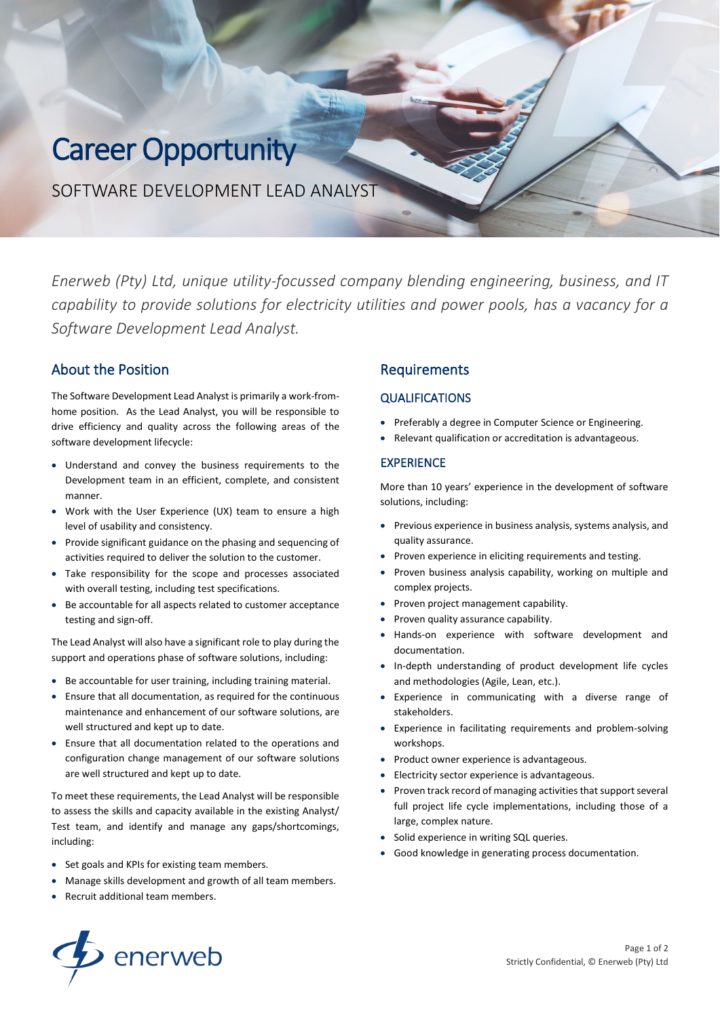# Career Opportunity

SOFTWARE DEVELOPMENT LEAD ANALYST

*Enerweb (Pty) Ltd, unique utility-focussed company blending engineering, business, and IT capability to provide solutions for electricity utilities and power pools, has a vacancy for a Software Development Lead Analyst.* 

# About the Position

The Software Development Lead Analyst is primarily a work-fromhome position. As the Lead Analyst, you will be responsible to drive efficiency and quality across the following areas of the software development lifecycle:

- Understand and convey the business requirements to the Development team in an efficient, complete, and consistent manner.
- Work with the User Experience (UX) team to ensure a high level of usability and consistency.
- Provide significant guidance on the phasing and sequencing of activities required to deliver the solution to the customer.
- Take responsibility for the scope and processes associated with overall testing, including test specifications.
- Be accountable for all aspects related to customer acceptance testing and sign-off.

The Lead Analyst will also have a significant role to play during the support and operations phase of software solutions, including:

- Be accountable for user training, including training material.
- Ensure that all documentation, as required for the continuous maintenance and enhancement of our software solutions, are well structured and kept up to date.
- Ensure that all documentation related to the operations and configuration change management of our software solutions are well structured and kept up to date.

To meet these requirements, the Lead Analyst will be responsible to assess the skills and capacity available in the existing Analyst/ Test team, and identify and manage any gaps/shortcomings, including:

- Set goals and KPIs for existing team members.
- Manage skills development and growth of all team members.
- Recruit additional team members.

# Requirements

#### **QUALIFICATIONS**

- Preferably a degree in Computer Science or Engineering.
- Relevant qualification or accreditation is advantageous.

#### EXPERIENCE

More than 10 years' experience in the development of software solutions, including:

- Previous experience in business analysis, systems analysis, and quality assurance.
- Proven experience in eliciting requirements and testing.
- Proven business analysis capability, working on multiple and complex projects.
- Proven project management capability.
- Proven quality assurance capability.
- Hands-on experience with software development and documentation.
- In-depth understanding of product development life cycles and methodologies (Agile, Lean, etc.).
- Experience in communicating with a diverse range of stakeholders.
- Experience in facilitating requirements and problem-solving workshops.
- Product owner experience is advantageous.
- Electricity sector experience is advantageous.
- Proven track record of managing activities that support several full project life cycle implementations, including those of a large, complex nature.
- Solid experience in writing SQL queries.
- Good knowledge in generating process documentation.